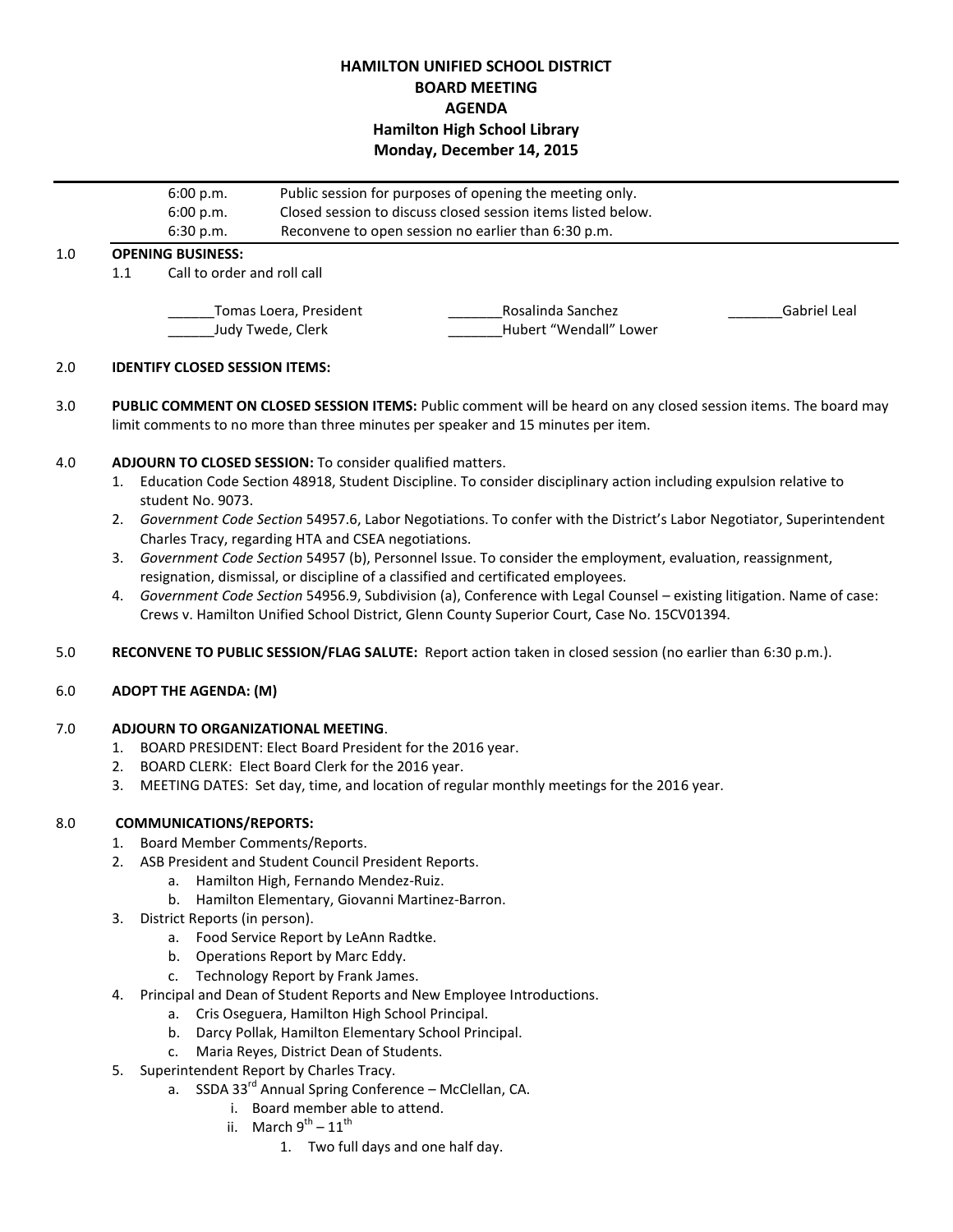# **HAMILTON UNIFIED SCHOOL DISTRICT BOARD MEETING AGENDA Hamilton High School Library Monday, December 14, 2015**

|     |                                             | 6:00 p.m.<br>6:00 p.m. | Public session for purposes of opening the meeting only.<br>Closed session to discuss closed session items listed below.<br>Reconvene to open session no earlier than 6:30 p.m. |                                             |              |
|-----|---------------------------------------------|------------------------|---------------------------------------------------------------------------------------------------------------------------------------------------------------------------------|---------------------------------------------|--------------|
|     |                                             | 6:30 p.m.              |                                                                                                                                                                                 |                                             |              |
| 1.0 | <b>OPENING BUSINESS:</b>                    |                        |                                                                                                                                                                                 |                                             |              |
|     | Call to order and roll call<br>1.1          |                        |                                                                                                                                                                                 |                                             |              |
|     | Tomas Loera, President<br>Judy Twede, Clerk |                        |                                                                                                                                                                                 | Rosalinda Sanchez<br>Hubert "Wendall" Lower | Gabriel Leal |

## 2.0 **IDENTIFY CLOSED SESSION ITEMS:**

3.0 **PUBLIC COMMENT ON CLOSED SESSION ITEMS:** Public comment will be heard on any closed session items. The board may limit comments to no more than three minutes per speaker and 15 minutes per item.

## 4.0 **ADJOURN TO CLOSED SESSION:** To consider qualified matters.

- 1. Education Code Section 48918, Student Discipline. To consider disciplinary action including expulsion relative to student No. 9073.
- 2. *Government Code Section* 54957.6, Labor Negotiations. To confer with the District's Labor Negotiator, Superintendent Charles Tracy, regarding HTA and CSEA negotiations.
- 3. *Government Code Section* 54957 (b), Personnel Issue. To consider the employment, evaluation, reassignment, resignation, dismissal, or discipline of a classified and certificated employees.
- 4. *Government Code Section* 54956.9, Subdivision (a), Conference with Legal Counsel existing litigation. Name of case: Crews v. Hamilton Unified School District, Glenn County Superior Court, Case No. 15CV01394.
- 5.0 **RECONVENE TO PUBLIC SESSION/FLAG SALUTE:** Report action taken in closed session (no earlier than 6:30 p.m.).

#### 6.0 **ADOPT THE AGENDA: (M)**

## 7.0 **ADJOURN TO ORGANIZATIONAL MEETING**.

- 1. BOARD PRESIDENT: Elect Board President for the 2016 year.
- 2. BOARD CLERK: Elect Board Clerk for the 2016 year.
- 3. MEETING DATES: Set day, time, and location of regular monthly meetings for the 2016 year.

## 8.0 **COMMUNICATIONS/REPORTS:**

- 1. Board Member Comments/Reports.
- 2. ASB President and Student Council President Reports.
	- a. Hamilton High, Fernando Mendez-Ruiz.
	- b. Hamilton Elementary, Giovanni Martinez-Barron.
- 3. District Reports (in person).
	- a. Food Service Report by LeAnn Radtke.
	- b. Operations Report by Marc Eddy.
	- c. Technology Report by Frank James.
- 4. Principal and Dean of Student Reports and New Employee Introductions.
	- a. Cris Oseguera, Hamilton High School Principal.
	- b. Darcy Pollak, Hamilton Elementary School Principal.
	- c. Maria Reyes, District Dean of Students.
- 5. Superintendent Report by Charles Tracy.
	- a. SSDA 33<sup>rd</sup> Annual Spring Conference McClellan, CA.
		- i. Board member able to attend.
		- ii. March  $9^{th} 11^{th}$ 
			- 1. Two full days and one half day.